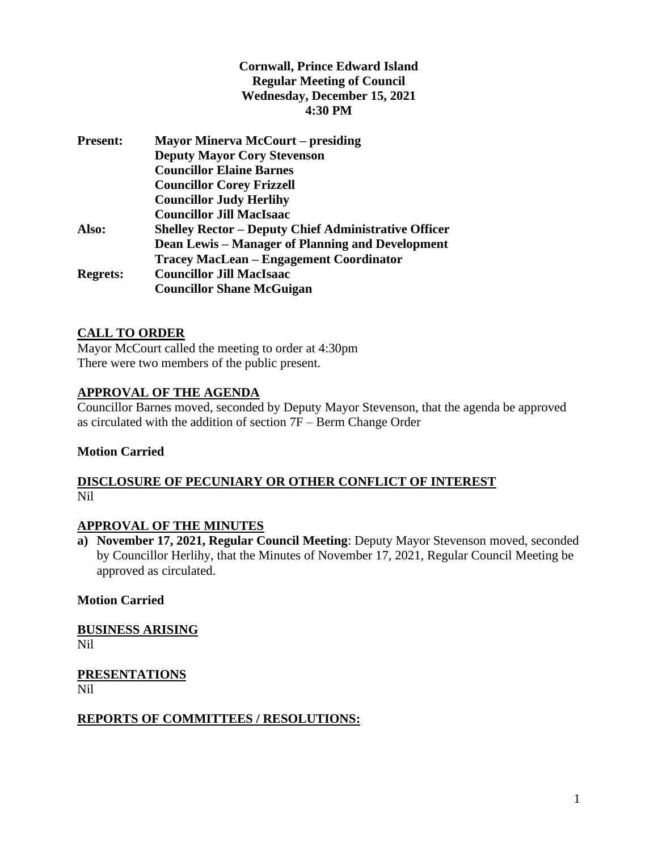## **Cornwall, Prince Edward Island Regular Meeting of Council Wednesday, December 15, 2021 4:30 PM**

| <b>Present:</b> | <b>Mayor Minerva McCourt – presiding</b>                    |
|-----------------|-------------------------------------------------------------|
|                 | <b>Deputy Mayor Cory Stevenson</b>                          |
|                 | <b>Councillor Elaine Barnes</b>                             |
|                 | <b>Councillor Corey Frizzell</b>                            |
|                 | <b>Councillor Judy Herlihy</b>                              |
|                 | <b>Councillor Jill MacIsaac</b>                             |
| Also:           | <b>Shelley Rector – Deputy Chief Administrative Officer</b> |
|                 | <b>Dean Lewis – Manager of Planning and Development</b>     |
|                 | <b>Tracey MacLean - Engagement Coordinator</b>              |
| <b>Regrets:</b> | <b>Councillor Jill MacIsaac</b>                             |
|                 | <b>Councillor Shane McGuigan</b>                            |

## **CALL TO ORDER**

Mayor McCourt called the meeting to order at 4:30pm There were two members of the public present.

## **APPROVAL OF THE AGENDA**

Councillor Barnes moved, seconded by Deputy Mayor Stevenson, that the agenda be approved as circulated with the addition of section 7F – Berm Change Order

#### **Motion Carried**

## **DISCLOSURE OF PECUNIARY OR OTHER CONFLICT OF INTEREST** Nil

## **APPROVAL OF THE MINUTES**

**a) November 17, 2021, Regular Council Meeting**: Deputy Mayor Stevenson moved, seconded by Councillor Herlihy, that the Minutes of November 17, 2021, Regular Council Meeting be approved as circulated.

#### **Motion Carried**

**BUSINESS ARISING** Nil

**PRESENTATIONS** Nil

## **REPORTS OF COMMITTEES / RESOLUTIONS:**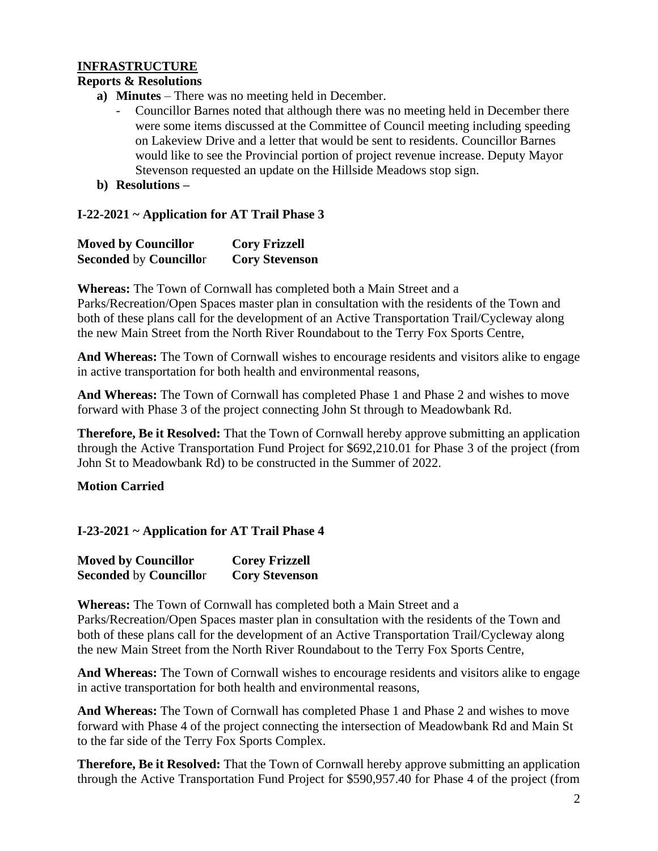## **INFRASTRUCTURE**

#### **Reports & Resolutions**

- **a) Minutes** There was no meeting held in December.
	- Councillor Barnes noted that although there was no meeting held in December there were some items discussed at the Committee of Council meeting including speeding on Lakeview Drive and a letter that would be sent to residents. Councillor Barnes would like to see the Provincial portion of project revenue increase. Deputy Mayor Stevenson requested an update on the Hillside Meadows stop sign.
- **b) Resolutions –**

### **I-22-2021 ~ Application for AT Trail Phase 3**

| <b>Moved by Councillor</b>    | <b>Cory Frizzell</b>  |
|-------------------------------|-----------------------|
| <b>Seconded by Councillor</b> | <b>Cory Stevenson</b> |

**Whereas:** The Town of Cornwall has completed both a Main Street and a Parks/Recreation/Open Spaces master plan in consultation with the residents of the Town and both of these plans call for the development of an Active Transportation Trail/Cycleway along the new Main Street from the North River Roundabout to the Terry Fox Sports Centre,

**And Whereas:** The Town of Cornwall wishes to encourage residents and visitors alike to engage in active transportation for both health and environmental reasons,

**And Whereas:** The Town of Cornwall has completed Phase 1 and Phase 2 and wishes to move forward with Phase 3 of the project connecting John St through to Meadowbank Rd.

**Therefore, Be it Resolved:** That the Town of Cornwall hereby approve submitting an application through the Active Transportation Fund Project for \$692,210.01 for Phase 3 of the project (from John St to Meadowbank Rd) to be constructed in the Summer of 2022.

#### **Motion Carried**

**I-23-2021 ~ Application for AT Trail Phase 4**

| <b>Moved by Councillor</b>    | <b>Corey Frizzell</b> |
|-------------------------------|-----------------------|
| <b>Seconded by Councillor</b> | <b>Cory Stevenson</b> |

**Whereas:** The Town of Cornwall has completed both a Main Street and a Parks/Recreation/Open Spaces master plan in consultation with the residents of the Town and both of these plans call for the development of an Active Transportation Trail/Cycleway along the new Main Street from the North River Roundabout to the Terry Fox Sports Centre,

**And Whereas:** The Town of Cornwall wishes to encourage residents and visitors alike to engage in active transportation for both health and environmental reasons,

**And Whereas:** The Town of Cornwall has completed Phase 1 and Phase 2 and wishes to move forward with Phase 4 of the project connecting the intersection of Meadowbank Rd and Main St to the far side of the Terry Fox Sports Complex.

**Therefore, Be it Resolved:** That the Town of Cornwall hereby approve submitting an application through the Active Transportation Fund Project for \$590,957.40 for Phase 4 of the project (from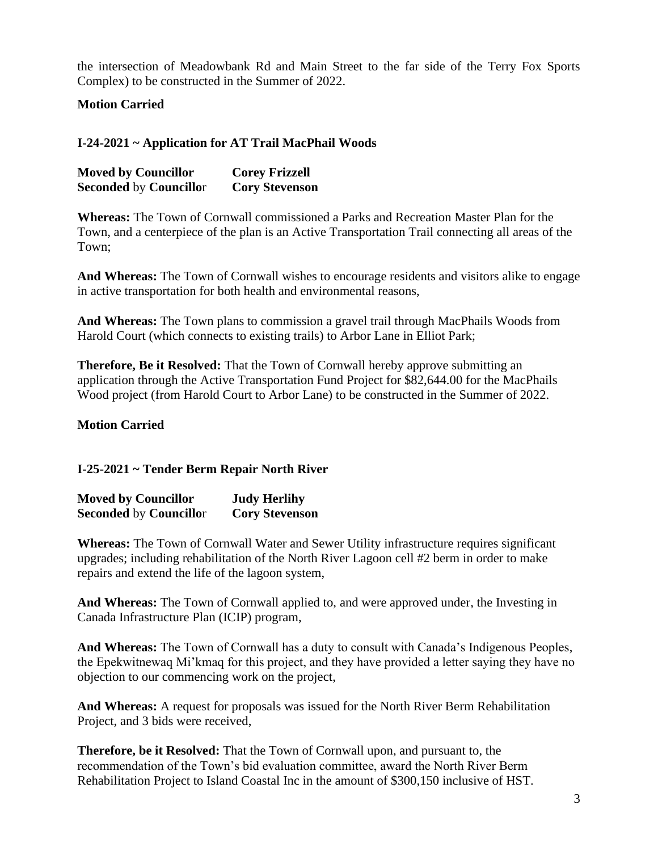the intersection of Meadowbank Rd and Main Street to the far side of the Terry Fox Sports Complex) to be constructed in the Summer of 2022.

**Motion Carried**

## **I-24-2021 ~ Application for AT Trail MacPhail Woods**

| <b>Moved by Councillor</b>    | <b>Corey Frizzell</b> |
|-------------------------------|-----------------------|
| <b>Seconded by Councillor</b> | <b>Cory Stevenson</b> |

**Whereas:** The Town of Cornwall commissioned a Parks and Recreation Master Plan for the Town, and a centerpiece of the plan is an Active Transportation Trail connecting all areas of the Town;

**And Whereas:** The Town of Cornwall wishes to encourage residents and visitors alike to engage in active transportation for both health and environmental reasons,

**And Whereas:** The Town plans to commission a gravel trail through MacPhails Woods from Harold Court (which connects to existing trails) to Arbor Lane in Elliot Park;

**Therefore, Be it Resolved:** That the Town of Cornwall hereby approve submitting an application through the Active Transportation Fund Project for \$82,644.00 for the MacPhails Wood project (from Harold Court to Arbor Lane) to be constructed in the Summer of 2022.

### **Motion Carried**

## **I-25-2021 ~ Tender Berm Repair North River**

| <b>Moved by Councillor</b>    | <b>Judy Herlihy</b>   |
|-------------------------------|-----------------------|
| <b>Seconded by Councillor</b> | <b>Cory Stevenson</b> |

**Whereas:** The Town of Cornwall Water and Sewer Utility infrastructure requires significant upgrades; including rehabilitation of the North River Lagoon cell #2 berm in order to make repairs and extend the life of the lagoon system,

**And Whereas:** The Town of Cornwall applied to, and were approved under, the Investing in Canada Infrastructure Plan (ICIP) program,

**And Whereas:** The Town of Cornwall has a duty to consult with Canada's Indigenous Peoples, the Epekwitnewaq Mi'kmaq for this project, and they have provided a letter saying they have no objection to our commencing work on the project,

**And Whereas:** A request for proposals was issued for the North River Berm Rehabilitation Project, and 3 bids were received,

**Therefore, be it Resolved:** That the Town of Cornwall upon, and pursuant to, the recommendation of the Town's bid evaluation committee, award the North River Berm Rehabilitation Project to Island Coastal Inc in the amount of \$300,150 inclusive of HST.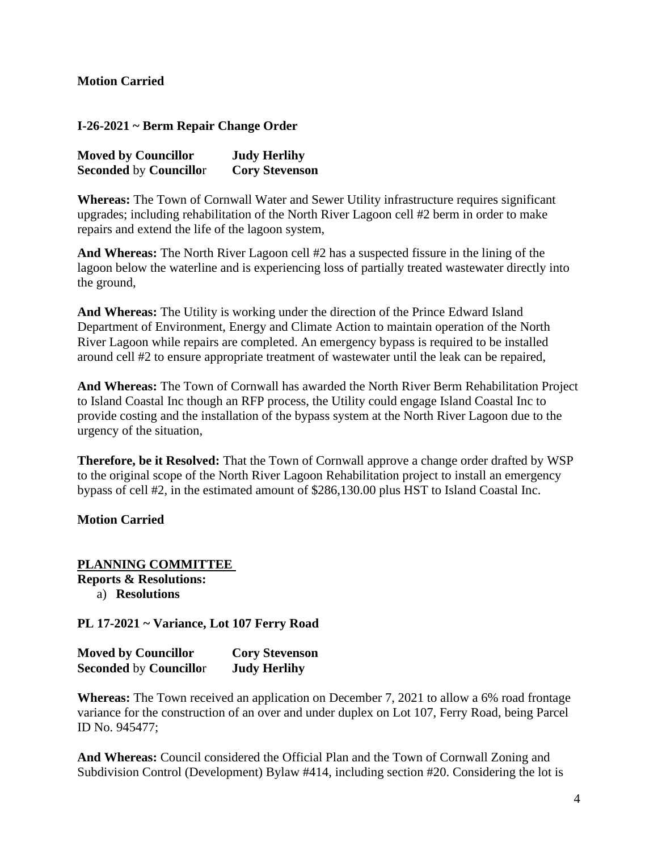### **Motion Carried**

**I-26-2021 ~ Berm Repair Change Order**

| <b>Moved by Councillor</b>    | <b>Judy Herlihy</b>   |
|-------------------------------|-----------------------|
| <b>Seconded by Councillor</b> | <b>Cory Stevenson</b> |

**Whereas:** The Town of Cornwall Water and Sewer Utility infrastructure requires significant upgrades; including rehabilitation of the North River Lagoon cell #2 berm in order to make repairs and extend the life of the lagoon system,

**And Whereas:** The North River Lagoon cell #2 has a suspected fissure in the lining of the lagoon below the waterline and is experiencing loss of partially treated wastewater directly into the ground,

**And Whereas:** The Utility is working under the direction of the Prince Edward Island Department of Environment, Energy and Climate Action to maintain operation of the North River Lagoon while repairs are completed. An emergency bypass is required to be installed around cell #2 to ensure appropriate treatment of wastewater until the leak can be repaired,

**And Whereas:** The Town of Cornwall has awarded the North River Berm Rehabilitation Project to Island Coastal Inc though an RFP process, the Utility could engage Island Coastal Inc to provide costing and the installation of the bypass system at the North River Lagoon due to the urgency of the situation,

**Therefore, be it Resolved:** That the Town of Cornwall approve a change order drafted by WSP to the original scope of the North River Lagoon Rehabilitation project to install an emergency bypass of cell #2, in the estimated amount of \$286,130.00 plus HST to Island Coastal Inc.

#### **Motion Carried**

**PLANNING COMMITTEE Reports & Resolutions:** a) **Resolutions**

**PL 17-2021 ~ Variance, Lot 107 Ferry Road**

| <b>Moved by Councillor</b>    | <b>Cory Stevenson</b> |
|-------------------------------|-----------------------|
| <b>Seconded by Councillor</b> | <b>Judy Herlihy</b>   |

**Whereas:** The Town received an application on December 7, 2021 to allow a 6% road frontage variance for the construction of an over and under duplex on Lot 107, Ferry Road, being Parcel ID No. 945477;

**And Whereas:** Council considered the Official Plan and the Town of Cornwall Zoning and Subdivision Control (Development) Bylaw #414, including section #20. Considering the lot is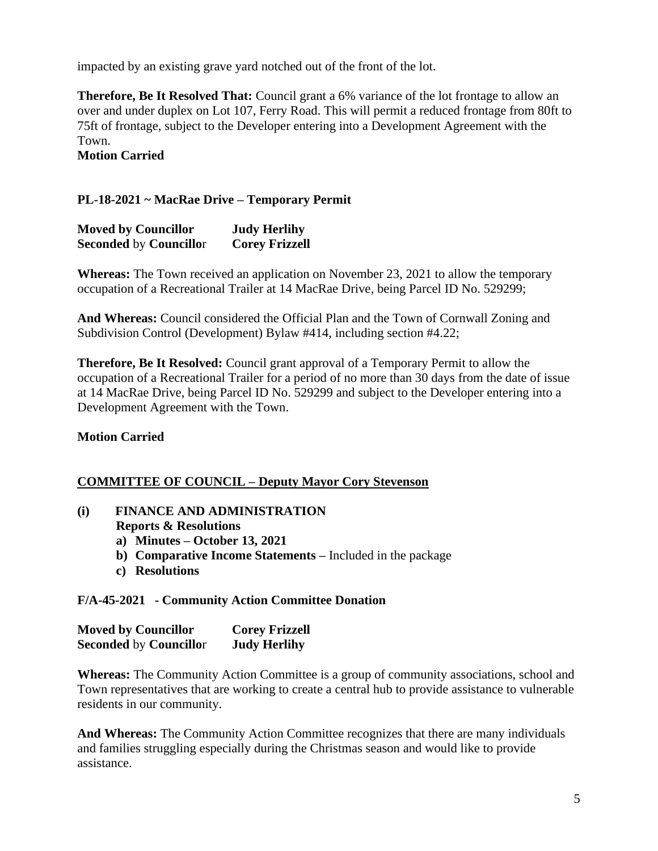impacted by an existing grave yard notched out of the front of the lot.

**Therefore, Be It Resolved That:** Council grant a 6% variance of the lot frontage to allow an over and under duplex on Lot 107, Ferry Road. This will permit a reduced frontage from 80ft to 75ft of frontage, subject to the Developer entering into a Development Agreement with the Town. **Motion Carried**

## **PL-18-2021 ~ MacRae Drive – Temporary Permit**

| <b>Moved by Councillor</b>    | <b>Judy Herlihy</b>   |
|-------------------------------|-----------------------|
| <b>Seconded by Councillor</b> | <b>Corey Frizzell</b> |

**Whereas:** The Town received an application on November 23, 2021 to allow the temporary occupation of a Recreational Trailer at 14 MacRae Drive, being Parcel ID No. 529299;

**And Whereas:** Council considered the Official Plan and the Town of Cornwall Zoning and Subdivision Control (Development) Bylaw #414, including section #4.22;

**Therefore, Be It Resolved:** Council grant approval of a Temporary Permit to allow the occupation of a Recreational Trailer for a period of no more than 30 days from the date of issue at 14 MacRae Drive, being Parcel ID No. 529299 and subject to the Developer entering into a Development Agreement with the Town.

## **Motion Carried**

## **COMMITTEE OF COUNCIL – Deputy Mayor Cory Stevenson**

### **(i) FINANCE AND ADMINISTRATION Reports & Resolutions**

- **a) Minutes – October 13, 2021**
- **b) Comparative Income Statements –** Included in the package
- **c) Resolutions**

#### **F/A-45-2021 - Community Action Committee Donation**

| <b>Moved by Councillor</b>    | <b>Corey Frizzell</b> |
|-------------------------------|-----------------------|
| <b>Seconded by Councillor</b> | <b>Judy Herlihy</b>   |

**Whereas:** The Community Action Committee is a group of community associations, school and Town representatives that are working to create a central hub to provide assistance to vulnerable residents in our community.

**And Whereas:** The Community Action Committee recognizes that there are many individuals and families struggling especially during the Christmas season and would like to provide assistance.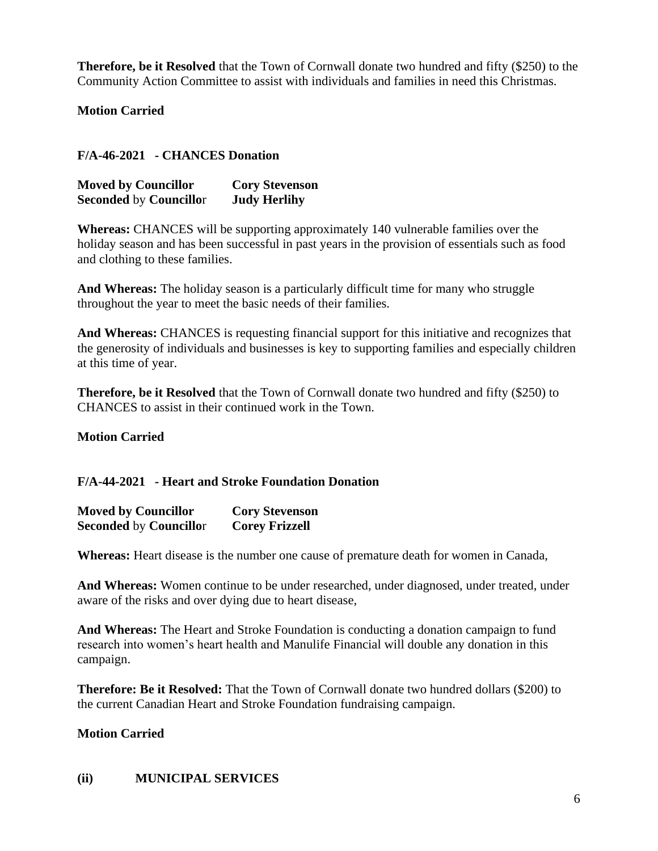**Therefore, be it Resolved** that the Town of Cornwall donate two hundred and fifty (\$250) to the Community Action Committee to assist with individuals and families in need this Christmas.

**Motion Carried**

**F/A-46-2021 - CHANCES Donation**

| <b>Moved by Councillor</b>    | <b>Cory Stevenson</b> |
|-------------------------------|-----------------------|
| <b>Seconded by Councillor</b> | <b>Judy Herlihy</b>   |

**Whereas:** CHANCES will be supporting approximately 140 vulnerable families over the holiday season and has been successful in past years in the provision of essentials such as food and clothing to these families.

**And Whereas:** The holiday season is a particularly difficult time for many who struggle throughout the year to meet the basic needs of their families.

**And Whereas:** CHANCES is requesting financial support for this initiative and recognizes that the generosity of individuals and businesses is key to supporting families and especially children at this time of year.

**Therefore, be it Resolved** that the Town of Cornwall donate two hundred and fifty (\$250) to CHANCES to assist in their continued work in the Town.

**Motion Carried**

## **F/A-44-2021 - Heart and Stroke Foundation Donation**

| <b>Moved by Councillor</b>    | <b>Cory Stevenson</b> |
|-------------------------------|-----------------------|
| <b>Seconded by Councillor</b> | <b>Corey Frizzell</b> |

**Whereas:** Heart disease is the number one cause of premature death for women in Canada,

And Whereas: Women continue to be under researched, under diagnosed, under treated, under aware of the risks and over dying due to heart disease,

**And Whereas:** The Heart and Stroke Foundation is conducting a donation campaign to fund research into women's heart health and Manulife Financial will double any donation in this campaign.

**Therefore: Be it Resolved:** That the Town of Cornwall donate two hundred dollars (\$200) to the current Canadian Heart and Stroke Foundation fundraising campaign.

### **Motion Carried**

#### **(ii) MUNICIPAL SERVICES**